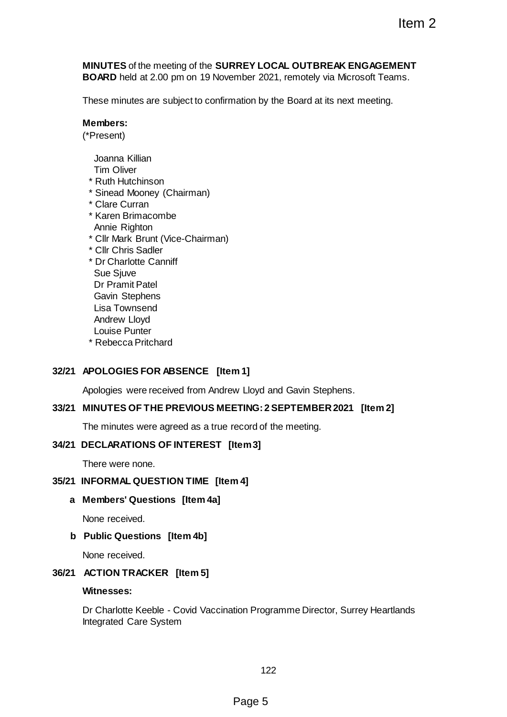**MINUTES** of the meeting of the **SURREY LOCAL OUTBREAK ENGAGEMENT BOARD** held at 2.00 pm on 19 November 2021, remotely via Microsoft Teams.

These minutes are subject to confirmation by the Board at its next meeting.

#### **Members:**

(\*Present)

Joanna Killian

Tim Oliver

- \* Ruth Hutchinson
- \* Sinead Mooney (Chairman)
- \* Clare Curran
- \* Karen Brimacombe Annie Righton
- \* Cllr Mark Brunt (Vice-Chairman)
- \* Cllr Chris Sadler
- \* Dr Charlotte Canniff Sue Sjuve Dr Pramit Patel Gavin Stephens Lisa Townsend Andrew Lloyd Louise Punter
- \* Rebecca Pritchard

# **32/21 APOLOGIES FOR ABSENCE [Item 1]**

Apologies were received from Andrew Lloyd and Gavin Stephens.

### **33/21 MINUTES OF THE PREVIOUS MEETING: 2 SEPTEMBER 2021 [Item 2]**

The minutes were agreed as a true record of the meeting.

### **34/21 DECLARATIONS OF INTEREST [Item 3]**

There were none.

### **35/21 INFORMAL QUESTION TIME [Item 4]**

# **a Members' Questions [Item 4a]**

None received.

### **b Public Questions [Item 4b]**

None received.

# **36/21 ACTION TRACKER [Item 5]**

## **Witnesses:**

Dr Charlotte Keeble - Covid Vaccination Programme Director, Surrey Heartlands Integrated Care System Item 2<br>
REY LOCAL OUTBREAK ENGAGEMENT<br>
mber 2021, remotely via Microsoft Teams.<br>
ration by the Board at its next meeting.<br>
TING: 2 SEPTEMBER 2021 [Item 2]<br>
ecord of the meeting.<br>
remail<br>
mail<br>
mail<br>
mail<br>
mail<br>
mail<br>
22<br>
P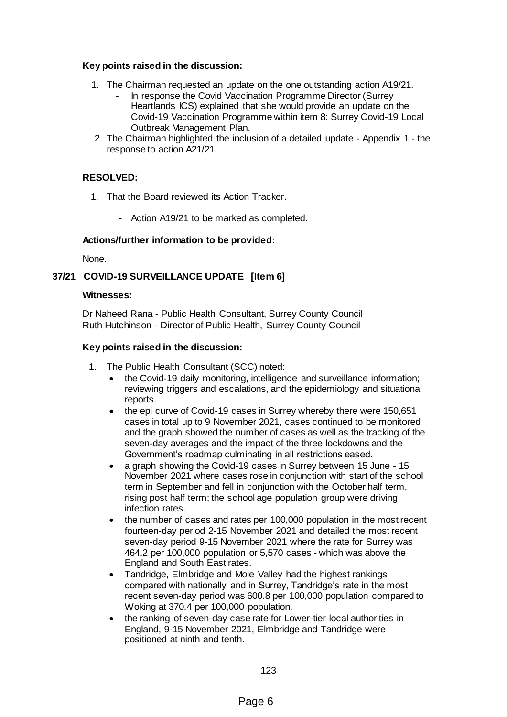### **Key points raised in the discussion:**

- 1. The Chairman requested an update on the one outstanding action A19/21.
	- In response the Covid Vaccination Programme Director (Surrey Heartlands ICS) explained that she would provide an update on the Covid-19 Vaccination Programme within item 8: Surrey Covid-19 Local Outbreak Management Plan.
- 2. The Chairman highlighted the inclusion of a detailed update Appendix 1 the response to action A21/21.

# **RESOLVED:**

- 1. That the Board reviewed its Action Tracker.
	- Action A19/21 to be marked as completed.

### **Actions/further information to be provided:**

None.

# **37/21 COVID-19 SURVEILLANCE UPDATE [Item 6]**

## **Witnesses:**

Dr Naheed Rana - Public Health Consultant, Surrey County Council Ruth Hutchinson - Director of Public Health, Surrey County Council

### **Key points raised in the discussion:**

- 1. The Public Health Consultant (SCC) noted:
	- the Covid-19 daily monitoring, intelligence and surveillance information; reviewing triggers and escalations, and the epidemiology and situational reports.
	- the epi curve of Covid-19 cases in Surrey whereby there were 150,651 cases in total up to 9 November 2021, cases continued to be monitored and the graph showed the number of cases as well as the tracking of the seven-day averages and the impact of the three lockdowns and the Government's roadmap culminating in all restrictions eased.
	- a graph showing the Covid-19 cases in Surrey between 15 June 15 November 2021 where cases rose in conjunction with start of the school term in September and fell in conjunction with the October half term, rising post half term; the school age population group were driving infection rates.
	- the number of cases and rates per 100,000 population in the most recent fourteen-day period 2-15 November 2021 and detailed the most recent seven-day period 9-15 November 2021 where the rate for Surrey was 464.2 per 100,000 population or 5,570 cases - which was above the England and South East rates.
	- Tandridge, Elmbridge and Mole Valley had the highest rankings compared with nationally and in Surrey, Tandridge's rate in the most recent seven-day period was 600.8 per 100,000 population compared to Woking at 370.4 per 100,000 population.
	- the ranking of seven-day case rate for Lower-tier local authorities in England, 9-15 November 2021, Elmbridge and Tandridge were positioned at ninth and tenth.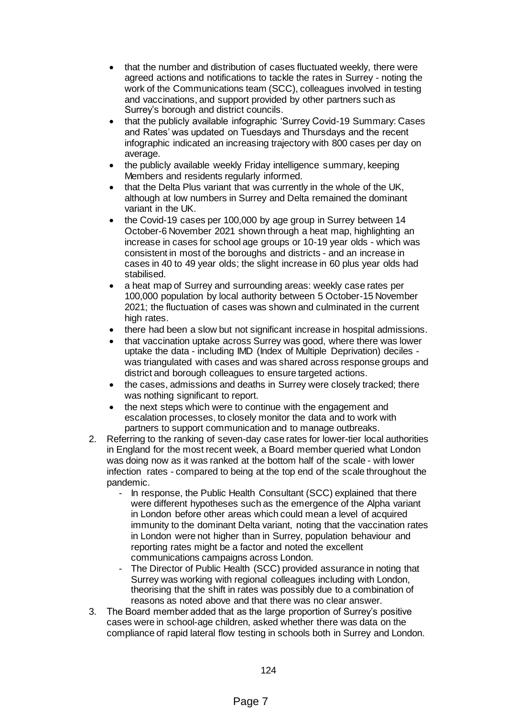- that the number and distribution of cases fluctuated weekly, there were agreed actions and notifications to tackle the rates in Surrey - noting the work of the Communications team (SCC), colleagues involved in testing and vaccinations, and support provided by other partners such as Surrey's borough and district councils.
- that the publicly available infographic 'Surrey Covid-19 Summary: Cases and Rates' was updated on Tuesdays and Thursdays and the recent infographic indicated an increasing trajectory with 800 cases per day on average.
- the publicly available weekly Friday intelligence summary, keeping Members and residents regularly informed.
- that the Delta Plus variant that was currently in the whole of the UK, although at low numbers in Surrey and Delta remained the dominant variant in the UK.
- the Covid-19 cases per 100,000 by age group in Surrey between 14 October-6 November 2021 shown through a heat map, highlighting an increase in cases for school age groups or 10-19 year olds - which was consistent in most of the boroughs and districts - and an increase in cases in 40 to 49 year olds; the slight increase in 60 plus year olds had stabilised.
- a heat map of Surrey and surrounding areas: weekly case rates per 100,000 population by local authority between 5 October-15 November 2021; the fluctuation of cases was shown and culminated in the current high rates.
- there had been a slow but not significant increase in hospital admissions.
- that vaccination uptake across Surrey was good, where there was lower uptake the data - including IMD (Index of Multiple Deprivation) deciles was triangulated with cases and was shared across response groups and district and borough colleagues to ensure targeted actions.
- the cases, admissions and deaths in Surrey were closely tracked; there was nothing significant to report.
- the next steps which were to continue with the engagement and escalation processes, to closely monitor the data and to work with partners to support communication and to manage outbreaks.
- 2. Referring to the ranking of seven-day case rates for lower-tier local authorities in England for the most recent week, a Board member queried what London was doing now as it was ranked at the bottom half of the scale - with lower infection rates - compared to being at the top end of the scale throughout the pandemic.
	- In response, the Public Health Consultant (SCC) explained that there were different hypotheses such as the emergence of the Alpha variant in London before other areas which could mean a level of acquired immunity to the dominant Delta variant, noting that the vaccination rates in London were not higher than in Surrey, population behaviour and reporting rates might be a factor and noted the excellent communications campaigns across London.
	- The Director of Public Health (SCC) provided assurance in noting that Surrey was working with regional colleagues including with London, theorising that the shift in rates was possibly due to a combination of reasons as noted above and that there was no clear answer.
- 3. The Board member added that as the large proportion of Surrey's positive cases were in school-age children, asked whether there was data on the compliance of rapid lateral flow testing in schools both in Surrey and London.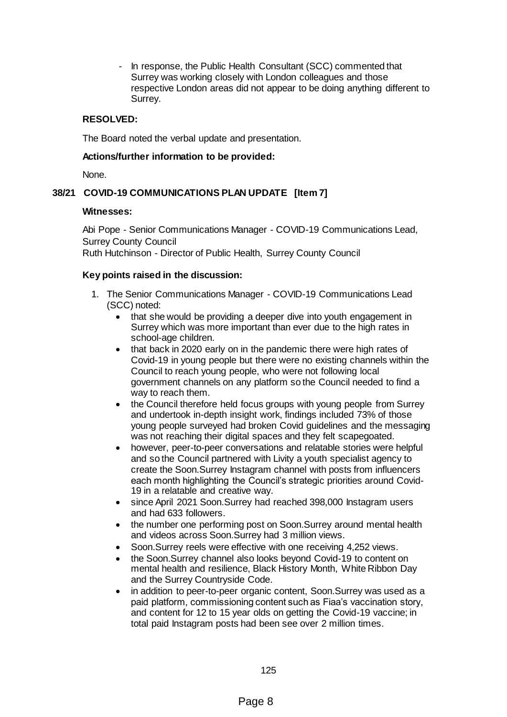In response, the Public Health Consultant (SCC) commented that Surrey was working closely with London colleagues and those respective London areas did not appear to be doing anything different to Surrey.

## **RESOLVED:**

The Board noted the verbal update and presentation.

#### **Actions/further information to be provided:**

None.

## **38/21 COVID-19 COMMUNICATIONS PLAN UPDATE [Item 7]**

#### **Witnesses:**

Abi Pope - Senior Communications Manager - COVID-19 Communications Lead, Surrey County Council Ruth Hutchinson - Director of Public Health, Surrey County Council

#### **Key points raised in the discussion:**

- 1. The Senior Communications Manager COVID-19 Communications Lead (SCC) noted:
	- that she would be providing a deeper dive into youth engagement in Surrey which was more important than ever due to the high rates in school-age children.
	- that back in 2020 early on in the pandemic there were high rates of Covid-19 in young people but there were no existing channels within the Council to reach young people, who were not following local government channels on any platform so the Council needed to find a way to reach them.
	- the Council therefore held focus groups with young people from Surrey and undertook in-depth insight work, findings included 73% of those young people surveyed had broken Covid guidelines and the messaging was not reaching their digital spaces and they felt scapegoated.
	- however, peer-to-peer conversations and relatable stories were helpful and so the Council partnered with Livity a youth specialist agency to create the Soon.Surrey Instagram channel with posts from influencers each month highlighting the Council's strategic priorities around Covid-19 in a relatable and creative way.
	- since April 2021 Soon.Surrey had reached 398,000 Instagram users and had 633 followers.
	- the number one performing post on Soon.Surrey around mental health and videos across Soon.Surrey had 3 million views.
	- Soon.Surrey reels were effective with one receiving 4,252 views.
	- the Soon.Surrey channel also looks beyond Covid-19 to content on mental health and resilience, Black History Month, White Ribbon Day and the Surrey Countryside Code.
	- in addition to peer-to-peer organic content, Soon.Surrey was used as a paid platform, commissioning content such as Fiaa's vaccination story, and content for 12 to 15 year olds on getting the Covid-19 vaccine; in total paid Instagram posts had been see over 2 million times.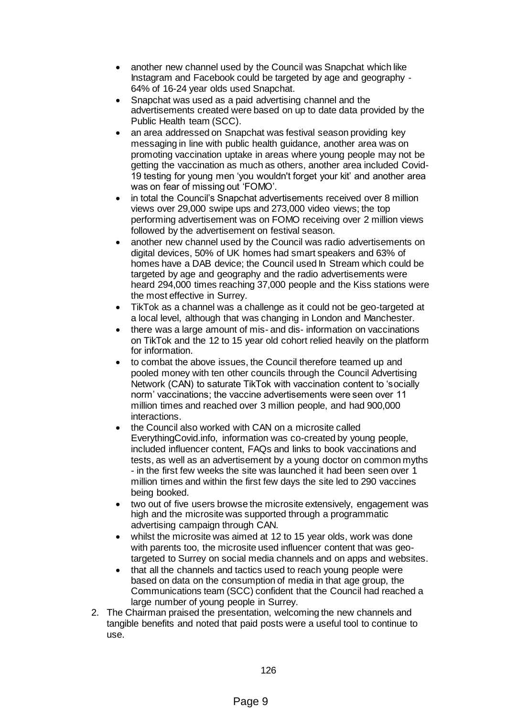- another new channel used by the Council was Snapchat which like Instagram and Facebook could be targeted by age and geography - 64% of 16-24 year olds used Snapchat.
- Snapchat was used as a paid advertising channel and the advertisements created were based on up to date data provided by the Public Health team (SCC).
- an area addressed on Snapchat was festival season providing key messaging in line with public health guidance, another area was on promoting vaccination uptake in areas where young people may not be getting the vaccination as much as others, another area included Covid-19 testing for young men 'you wouldn't forget your kit' and another area was on fear of missing out 'FOMO'.
- in total the Council's Snapchat advertisements received over 8 million views over 29,000 swipe ups and 273,000 video views; the top performing advertisement was on FOMO receiving over 2 million views followed by the advertisement on festival season.
- another new channel used by the Council was radio advertisements on digital devices, 50% of UK homes had smart speakers and 63% of homes have a DAB device; the Council used In Stream which could be targeted by age and geography and the radio advertisements were heard 294,000 times reaching 37,000 people and the Kiss stations were the most effective in Surrey.
- TikTok as a channel was a challenge as it could not be geo-targeted at a local level, although that was changing in London and Manchester.
- there was a large amount of mis- and dis- information on vaccinations on TikTok and the 12 to 15 year old cohort relied heavily on the platform for information.
- to combat the above issues, the Council therefore teamed up and pooled money with ten other councils through the Council Advertising Network (CAN) to saturate TikTok with vaccination content to 'socially norm' vaccinations; the vaccine advertisements were seen over 11 million times and reached over 3 million people, and had 900,000 interactions.
- the Council also worked with CAN on a microsite called EverythingCovid.info, information was co-created by young people, included influencer content, FAQs and links to book vaccinations and tests, as well as an advertisement by a young doctor on common myths - in the first few weeks the site was launched it had been seen over 1 million times and within the first few days the site led to 290 vaccines being booked.
- two out of five users browse the microsite extensively, engagement was high and the microsite was supported through a programmatic advertising campaign through CAN.
- whilst the microsite was aimed at 12 to 15 year olds, work was done with parents too, the microsite used influencer content that was geotargeted to Surrey on social media channels and on apps and websites.
- that all the channels and tactics used to reach young people were based on data on the consumption of media in that age group, the Communications team (SCC) confident that the Council had reached a large number of young people in Surrey.
- 2. The Chairman praised the presentation, welcoming the new channels and tangible benefits and noted that paid posts were a useful tool to continue to use.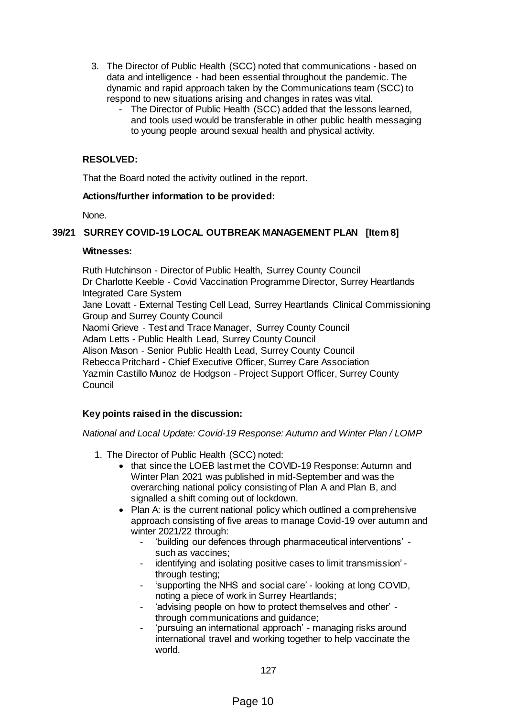- 3. The Director of Public Health (SCC) noted that communications based on data and intelligence - had been essential throughout the pandemic. The dynamic and rapid approach taken by the Communications team (SCC) to respond to new situations arising and changes in rates was vital.
	- The Director of Public Health (SCC) added that the lessons learned, and tools used would be transferable in other public health messaging to young people around sexual health and physical activity.

## **RESOLVED:**

That the Board noted the activity outlined in the report.

### **Actions/further information to be provided:**

None.

## **39/21 SURREY COVID-19 LOCAL OUTBREAK MANAGEMENT PLAN [Item 8]**

#### **Witnesses:**

Ruth Hutchinson - Director of Public Health, Surrey County Council Dr Charlotte Keeble - Covid Vaccination Programme Director, Surrey Heartlands Integrated Care System Jane Lovatt - External Testing Cell Lead, Surrey Heartlands Clinical Commissioning Group and Surrey County Council Naomi Grieve - Test and Trace Manager, Surrey County Council Adam Letts - Public Health Lead, Surrey County Council Alison Mason - Senior Public Health Lead, Surrey County Council Rebecca Pritchard - Chief Executive Officer, Surrey Care Association Yazmin Castillo Munoz de Hodgson - Project Support Officer, Surrey County **Council** 

### **Key points raised in the discussion:**

### *National and Local Update: Covid-19 Response: Autumn and Winter Plan / LOMP*

- 1. The Director of Public Health (SCC) noted:
	- that since the LOEB last met the COVID-19 Response: Autumn and Winter Plan 2021 was published in mid-September and was the overarching national policy consisting of Plan A and Plan B, and signalled a shift coming out of lockdown.
	- Plan A: is the current national policy which outlined a comprehensive approach consisting of five areas to manage Covid-19 over autumn and winter 2021/22 through:
		- 'building our defences through pharmaceutical interventions' such as vaccines;
		- identifying and isolating positive cases to limit transmission' through testing;
		- 'supporting the NHS and social care' looking at long COVID, noting a piece of work in Surrey Heartlands;
		- 'advising people on how to protect themselves and other' through communications and guidance;
		- 'pursuing an international approach' managing risks around international travel and working together to help vaccinate the world.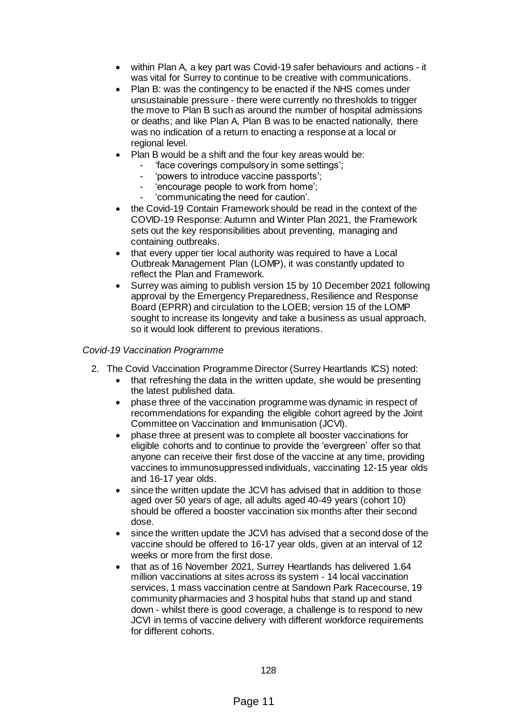- within Plan A, a key part was Covid-19 safer behaviours and actions it was vital for Surrey to continue to be creative with communications.
- Plan B: was the contingency to be enacted if the NHS comes under unsustainable pressure - there were currently no thresholds to trigger the move to Plan B such as around the number of hospital admissions or deaths; and like Plan A, Plan B was to be enacted nationally, there was no indication of a return to enacting a response at a local or regional level.
- Plan B would be a shift and the four key areas would be:
	- 'face coverings compulsory in some settings';
	- 'powers to introduce vaccine passports';
	- 'encourage people to work from home';
	- 'communicating the need for caution'.
- the Covid-19 Contain Framework should be read in the context of the COVID-19 Response: Autumn and Winter Plan 2021, the Framework sets out the key responsibilities about preventing, managing and containing outbreaks.
- that every upper tier local authority was required to have a Local Outbreak Management Plan (LOMP), it was constantly updated to reflect the Plan and Framework.
- Surrey was aiming to publish version 15 by 10 December 2021 following approval by the Emergency Preparedness, Resilience and Response Board (EPRR) and circulation to the LOEB; version 15 of the LOMP sought to increase its longevity and take a business as usual approach, so it would look different to previous iterations.

#### *Covid-19 Vaccination Programme*

- 2. The Covid Vaccination Programme Director (Surrey Heartlands ICS) noted:
	- that refreshing the data in the written update, she would be presenting the latest published data.
	- phase three of the vaccination programme was dynamic in respect of recommendations for expanding the eligible cohort agreed by the Joint Committee on Vaccination and Immunisation (JCVI).
	- phase three at present was to complete all booster vaccinations for eligible cohorts and to continue to provide the 'evergreen' offer so that anyone can receive their first dose of the vaccine at any time, providing vaccines to immunosuppressed individuals, vaccinating 12-15 year olds and 16-17 year olds.
	- since the written update the JCVI has advised that in addition to those aged over 50 years of age, all adults aged 40-49 years (cohort 10) should be offered a booster vaccination six months after their second dose.
	- since the written update the JCVI has advised that a second dose of the vaccine should be offered to 16-17 year olds, given at an interval of 12 weeks or more from the first dose.
	- that as of 16 November 2021, Surrey Heartlands has delivered 1.64 million vaccinations at sites across its system - 14 local vaccination services, 1 mass vaccination centre at Sandown Park Racecourse, 19 community pharmacies and 3 hospital hubs that stand up and stand down - whilst there is good coverage, a challenge is to respond to new JCVI in terms of vaccine delivery with different workforce requirements for different cohorts.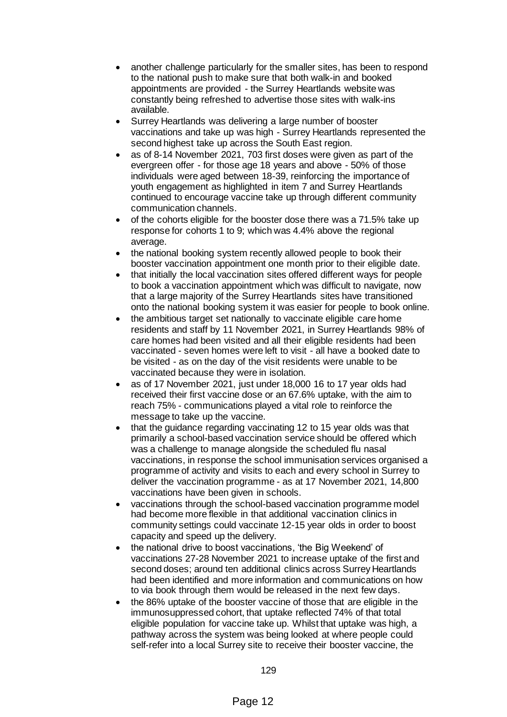- another challenge particularly for the smaller sites, has been to respond to the national push to make sure that both walk-in and booked appointments are provided - the Surrey Heartlands website was constantly being refreshed to advertise those sites with walk-ins available.
- Surrey Heartlands was delivering a large number of booster vaccinations and take up was high - Surrey Heartlands represented the second highest take up across the South East region.
- as of 8-14 November 2021, 703 first doses were given as part of the evergreen offer - for those age 18 years and above - 50% of those individuals were aged between 18-39, reinforcing the importance of youth engagement as highlighted in item 7 and Surrey Heartlands continued to encourage vaccine take up through different community communication channels.
- of the cohorts eligible for the booster dose there was a 71.5% take up response for cohorts 1 to 9; which was 4.4% above the regional average.
- the national booking system recently allowed people to book their booster vaccination appointment one month prior to their eligible date.
- that initially the local vaccination sites offered different ways for people to book a vaccination appointment which was difficult to navigate, now that a large majority of the Surrey Heartlands sites have transitioned onto the national booking system it was easier for people to book online.
- the ambitious target set nationally to vaccinate eligible care home residents and staff by 11 November 2021, in Surrey Heartlands 98% of care homes had been visited and all their eligible residents had been vaccinated - seven homes were left to visit - all have a booked date to be visited - as on the day of the visit residents were unable to be vaccinated because they were in isolation.
- as of 17 November 2021, just under 18,000 16 to 17 year olds had received their first vaccine dose or an 67.6% uptake, with the aim to reach 75% - communications played a vital role to reinforce the message to take up the vaccine.
- that the guidance regarding vaccinating 12 to 15 year olds was that primarily a school-based vaccination service should be offered which was a challenge to manage alongside the scheduled flu nasal vaccinations, in response the school immunisation services organised a programme of activity and visits to each and every school in Surrey to deliver the vaccination programme - as at 17 November 2021, 14,800 vaccinations have been given in schools.
- vaccinations through the school-based vaccination programme model had become more flexible in that additional vaccination clinics in community settings could vaccinate 12-15 year olds in order to boost capacity and speed up the delivery.
- the national drive to boost vaccinations, 'the Big Weekend' of vaccinations 27-28 November 2021 to increase uptake of the first and second doses; around ten additional clinics across Surrey Heartlands had been identified and more information and communications on how to via book through them would be released in the next few days.
- the 86% uptake of the booster vaccine of those that are eligible in the immunosuppressed cohort, that uptake reflected 74% of that total eligible population for vaccine take up. Whilst that uptake was high, a pathway across the system was being looked at where people could self-refer into a local Surrey site to receive their booster vaccine, the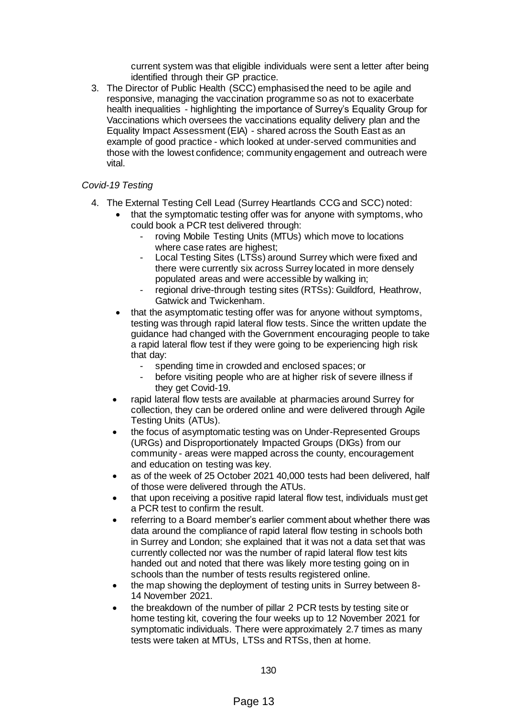current system was that eligible individuals were sent a letter after being identified through their GP practice.

3. The Director of Public Health (SCC) emphasised the need to be agile and responsive, managing the vaccination programme so as not to exacerbate health inequalities - highlighting the importance of Surrey's Equality Group for Vaccinations which oversees the vaccinations equality delivery plan and the Equality Impact Assessment (EIA) - shared across the South East as an example of good practice - which looked at under-served communities and those with the lowest confidence; community engagement and outreach were vital.

## *Covid-19 Testing*

- 4. The External Testing Cell Lead (Surrey Heartlands CCG and SCC) noted:
	- that the symptomatic testing offer was for anyone with symptoms, who could book a PCR test delivered through:
		- roving Mobile Testing Units (MTUs) which move to locations where case rates are highest;
		- Local Testing Sites (LTSs) around Surrey which were fixed and there were currently six across Surrey located in more densely populated areas and were accessible by walking in;
		- regional drive-through testing sites (RTSs): Guildford, Heathrow, Gatwick and Twickenham.
	- that the asymptomatic testing offer was for anyone without symptoms, testing was through rapid lateral flow tests. Since the written update the guidance had changed with the Government encouraging people to take a rapid lateral flow test if they were going to be experiencing high risk that day:
		- spending time in crowded and enclosed spaces; or
		- before visiting people who are at higher risk of severe illness if they get Covid-19.
	- rapid lateral flow tests are available at pharmacies around Surrey for collection, they can be ordered online and were delivered through Agile Testing Units (ATUs).
	- the focus of asymptomatic testing was on Under-Represented Groups (URGs) and Disproportionately Impacted Groups (DIGs) from our community - areas were mapped across the county, encouragement and education on testing was key.
	- as of the week of 25 October 2021 40,000 tests had been delivered, half of those were delivered through the ATUs.
	- that upon receiving a positive rapid lateral flow test, individuals must get a PCR test to confirm the result.
	- referring to a Board member's earlier comment about whether there was data around the compliance of rapid lateral flow testing in schools both in Surrey and London; she explained that it was not a data set that was currently collected nor was the number of rapid lateral flow test kits handed out and noted that there was likely more testing going on in schools than the number of tests results registered online.
	- the map showing the deployment of testing units in Surrey between 8- 14 November 2021.
	- the breakdown of the number of pillar 2 PCR tests by testing site or home testing kit, covering the four weeks up to 12 November 2021 for symptomatic individuals. There were approximately 2.7 times as many tests were taken at MTUs, LTSs and RTSs, then at home.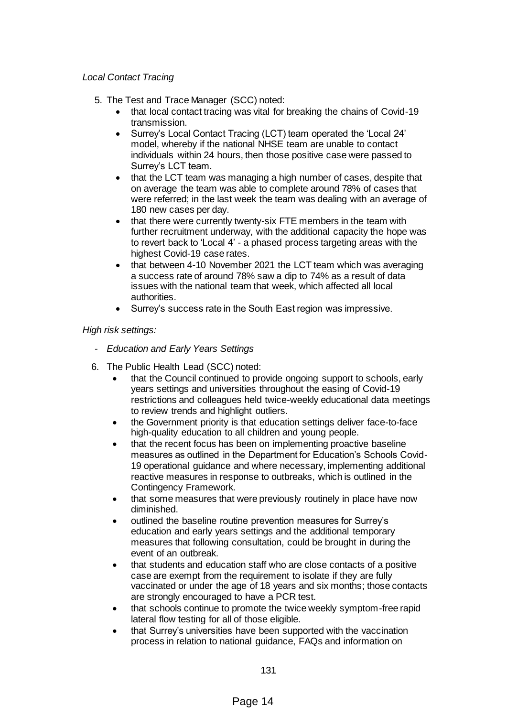## *Local Contact Tracing*

- 5. The Test and Trace Manager (SCC) noted:
	- that local contact tracing was vital for breaking the chains of Covid-19 transmission.
	- Surrey's Local Contact Tracing (LCT) team operated the 'Local 24' model, whereby if the national NHSE team are unable to contact individuals within 24 hours, then those positive case were passed to Surrey's LCT team.
	- that the LCT team was managing a high number of cases, despite that on average the team was able to complete around 78% of cases that were referred; in the last week the team was dealing with an average of 180 new cases per day.
	- that there were currently twenty-six FTE members in the team with further recruitment underway, with the additional capacity the hope was to revert back to 'Local 4' - a phased process targeting areas with the highest Covid-19 case rates.
	- that between 4-10 November 2021 the LCT team which was averaging a success rate of around 78% saw a dip to 74% as a result of data issues with the national team that week, which affected all local authorities.
	- Surrey's success rate in the South East region was impressive.

### *High risk settings:*

- *- Education and Early Years Settings*
- 6. The Public Health Lead (SCC) noted:
	- that the Council continued to provide ongoing support to schools, early years settings and universities throughout the easing of Covid-19 restrictions and colleagues held twice-weekly educational data meetings to review trends and highlight outliers.
	- the Government priority is that education settings deliver face-to-face high-quality education to all children and young people.
	- that the recent focus has been on implementing proactive baseline measures as outlined in the Department for Education's Schools Covid-19 operational guidance and where necessary, implementing additional reactive measures in response to outbreaks, which is outlined in the Contingency Framework.
	- that some measures that were previously routinely in place have now diminished.
	- outlined the baseline routine prevention measures for Surrey's education and early years settings and the additional temporary measures that following consultation, could be brought in during the event of an outbreak.
	- that students and education staff who are close contacts of a positive case are exempt from the requirement to isolate if they are fully vaccinated or under the age of 18 years and six months; those contacts are strongly encouraged to have a PCR test.
	- that schools continue to promote the twice weekly symptom-free rapid lateral flow testing for all of those eligible.
	- that Surrey's universities have been supported with the vaccination process in relation to national guidance, FAQs and information on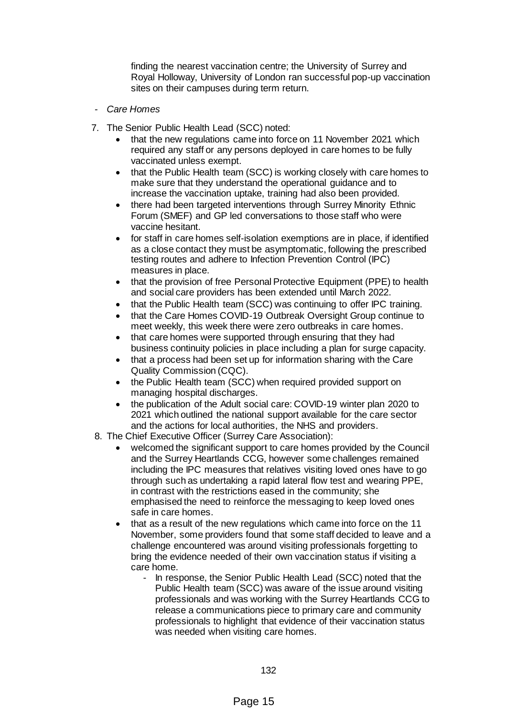finding the nearest vaccination centre; the University of Surrey and Royal Holloway, University of London ran successful pop-up vaccination sites on their campuses during term return.

- *- Care Homes*
- 7. The Senior Public Health Lead (SCC) noted:
	- that the new regulations came into force on 11 November 2021 which required any staff or any persons deployed in care homes to be fully vaccinated unless exempt.
	- that the Public Health team (SCC) is working closely with care homes to make sure that they understand the operational guidance and to increase the vaccination uptake, training had also been provided.
	- there had been targeted interventions through Surrey Minority Ethnic Forum (SMEF) and GP led conversations to those staff who were vaccine hesitant.
	- for staff in care homes self-isolation exemptions are in place, if identified as a close contact they must be asymptomatic, following the prescribed testing routes and adhere to Infection Prevention Control (IPC) measures in place.
	- that the provision of free Personal Protective Equipment (PPE) to health and social care providers has been extended until March 2022.
	- that the Public Health team (SCC) was continuing to offer IPC training.
	- that the Care Homes COVID-19 Outbreak Oversight Group continue to meet weekly, this week there were zero outbreaks in care homes.
	- that care homes were supported through ensuring that they had business continuity policies in place including a plan for surge capacity.
	- that a process had been set up for information sharing with the Care Quality Commission (CQC).
	- the Public Health team (SCC) when required provided support on managing hospital discharges.
	- the publication of the Adult social care: COVID-19 winter plan 2020 to 2021 which outlined the national support available for the care sector and the actions for local authorities, the NHS and providers.
- 8. The Chief Executive Officer (Surrey Care Association):
	- welcomed the significant support to care homes provided by the Council and the Surrey Heartlands CCG, however some challenges remained including the IPC measures that relatives visiting loved ones have to go through such as undertaking a rapid lateral flow test and wearing PPE, in contrast with the restrictions eased in the community; she emphasised the need to reinforce the messaging to keep loved ones safe in care homes.
	- that as a result of the new regulations which came into force on the 11 November, some providers found that some staff decided to leave and a challenge encountered was around visiting professionals forgetting to bring the evidence needed of their own vaccination status if visiting a care home.
		- In response, the Senior Public Health Lead (SCC) noted that the Public Health team (SCC) was aware of the issue around visiting professionals and was working with the Surrey Heartlands CCG to release a communications piece to primary care and community professionals to highlight that evidence of their vaccination status was needed when visiting care homes.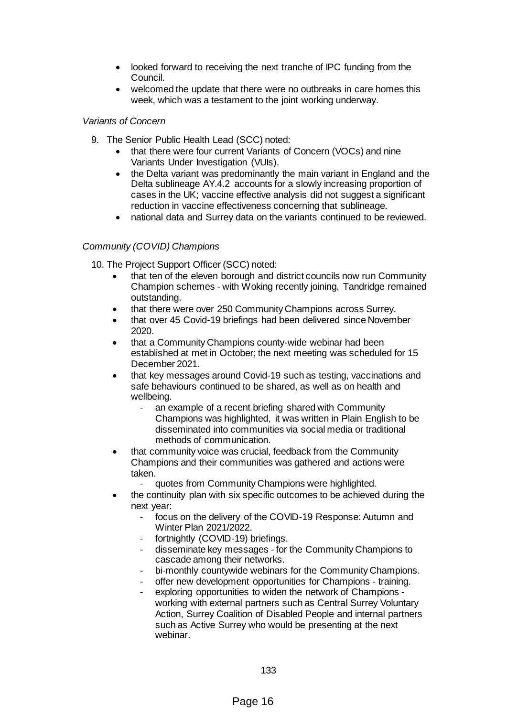- looked forward to receiving the next tranche of IPC funding from the Council.
- welcomed the update that there were no outbreaks in care homes this week, which was a testament to the joint working underway.

#### *Variants of Concern*

- 9. The Senior Public Health Lead (SCC) noted:
	- that there were four current Variants of Concern (VOCs) and nine Variants Under Investigation (VUIs).
	- the Delta variant was predominantly the main variant in England and the Delta sublineage AY.4.2 accounts for a slowly increasing proportion of cases in the UK; vaccine effective analysis did not suggest a significant reduction in vaccine effectiveness concerning that sublineage.
	- national data and Surrey data on the variants continued to be reviewed.

### *Community (COVID) Champions*

10. The Project Support Officer (SCC) noted:

- that ten of the eleven borough and district councils now run Community Champion schemes - with Woking recently joining, Tandridge remained outstanding.
- that there were over 250 Community Champions across Surrey.
- that over 45 Covid-19 briefings had been delivered since November 2020.
- that a Community Champions county-wide webinar had been established at met in October; the next meeting was scheduled for 15 December 2021.
- that key messages around Covid-19 such as testing, vaccinations and safe behaviours continued to be shared, as well as on health and wellbeing.
	- an example of a recent briefing shared with Community Champions was highlighted, it was written in Plain English to be disseminated into communities via social media or traditional methods of communication.
- that community voice was crucial, feedback from the Community Champions and their communities was gathered and actions were taken.
	- quotes from Community Champions were highlighted.
- the continuity plan with six specific outcomes to be achieved during the next year:
	- focus on the delivery of the COVID-19 Response: Autumn and Winter Plan 2021/2022.
	- fortnightly (COVID-19) briefings.
	- disseminate key messages for the Community Champions to cascade among their networks.
	- bi-monthly countywide webinars for the Community Champions.
	- offer new development opportunities for Champions training.
	- exploring opportunities to widen the network of Champions working with external partners such as Central Surrey Voluntary Action, Surrey Coalition of Disabled People and internal partners such as Active Surrey who would be presenting at the next webinar.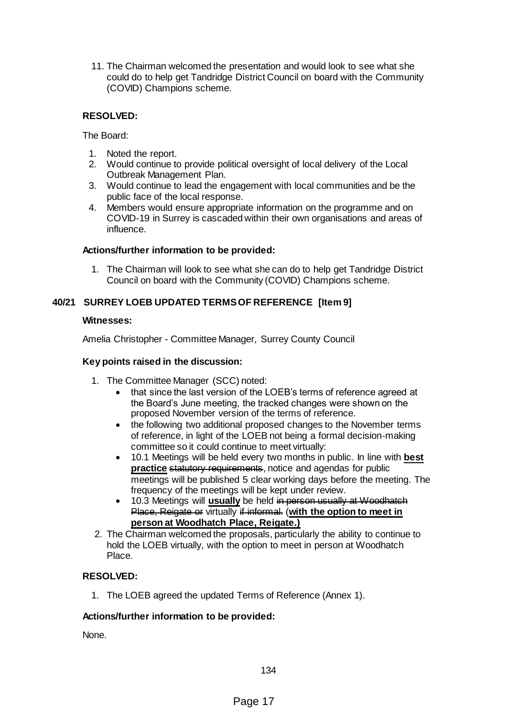11. The Chairman welcomed the presentation and would look to see what she could do to help get Tandridge District Council on board with the Community (COVID) Champions scheme.

# **RESOLVED:**

The Board:

- 1. Noted the report.
- 2. Would continue to provide political oversight of local delivery of the Local Outbreak Management Plan.
- 3. Would continue to lead the engagement with local communities and be the public face of the local response.
- 4. Members would ensure appropriate information on the programme and on COVID-19 in Surrey is cascaded within their own organisations and areas of influence.

#### **Actions/further information to be provided:**

1. The Chairman will look to see what she can do to help get Tandridge District Council on board with the Community (COVID) Champions scheme.

## **40/21 SURREY LOEB UPDATED TERMS OF REFERENCE [Item 9]**

#### **Witnesses:**

Amelia Christopher - Committee Manager, Surrey County Council

### **Key points raised in the discussion:**

- 1. The Committee Manager (SCC) noted:
	- that since the last version of the LOEB's terms of reference agreed at the Board's June meeting, the tracked changes were shown on the proposed November version of the terms of reference.
	- the following two additional proposed changes to the November terms of reference, in light of the LOEB not being a formal decision-making committee so it could continue to meet virtually:
	- 10.1 Meetings will be held every two months in public. In line with **best practice** statutory requirements, notice and agendas for public meetings will be published 5 clear working days before the meeting. The frequency of the meetings will be kept under review.
	- 10.3 Meetings will **usually** be held in person usually at Woodhatch Place, Reigate or virtually if informal. (**with the option to meet in person at Woodhatch Place, Reigate.)**
- 2. The Chairman welcomed the proposals, particularly the ability to continue to hold the LOEB virtually, with the option to meet in person at Woodhatch Place.

### **RESOLVED:**

1. The LOEB agreed the updated Terms of Reference (Annex 1).

#### **Actions/further information to be provided:**

None.